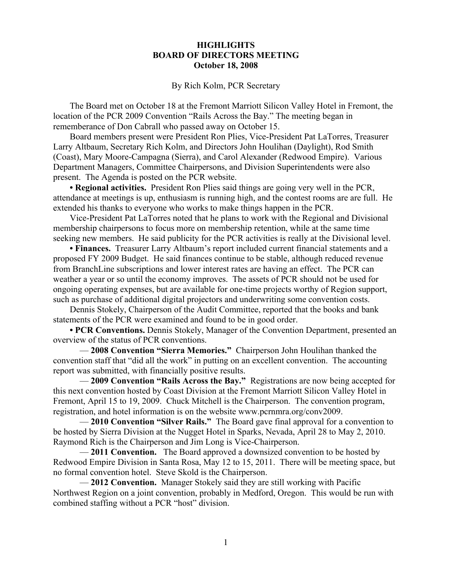## **HIGHLIGHTS BOARD OF DIRECTORS MEETING October 18, 2008**

## By Rich Kolm, PCR Secretary

The Board met on October 18 at the Fremont Marriott Silicon Valley Hotel in Fremont, the location of the PCR 2009 Convention "Rails Across the Bay." The meeting began in rememberance of Don Cabrall who passed away on October 15.

Board members present were President Ron Plies, Vice-President Pat LaTorres, Treasurer Larry Altbaum, Secretary Rich Kolm, and Directors John Houlihan (Daylight), Rod Smith (Coast), Mary Moore-Campagna (Sierra), and Carol Alexander (Redwood Empire). Various Department Managers, Committee Chairpersons, and Division Superintendents were also present. The Agenda is posted on the PCR website.

**• Regional activities.** President Ron Plies said things are going very well in the PCR, attendance at meetings is up, enthusiasm is running high, and the contest rooms are are full. He extended his thanks to everyone who works to make things happen in the PCR.

Vice-President Pat LaTorres noted that he plans to work with the Regional and Divisional membership chairpersons to focus more on membership retention, while at the same time seeking new members. He said publicity for the PCR activities is really at the Divisional level.

**• Finances.** Treasurer Larry Altbaum's report included current financial statements and a proposed FY 2009 Budget. He said finances continue to be stable, although reduced revenue from BranchLine subscriptions and lower interest rates are having an effect. The PCR can weather a year or so until the economy improves. The assets of PCR should not be used for ongoing operating expenses, but are available for one-time projects worthy of Region support, such as purchase of additional digital projectors and underwriting some convention costs.

Dennis Stokely, Chairperson of the Audit Committee, reported that the books and bank statements of the PCR were examined and found to be in good order.

**• PCR Conventions.** Dennis Stokely, Manager of the Convention Department, presented an overview of the status of PCR conventions.

— **2008 Convention "Sierra Memories."** Chairperson John Houlihan thanked the convention staff that "did all the work" in putting on an excellent convention. The accounting report was submitted, with financially positive results.

— **2009 Convention "Rails Across the Bay."** Registrations are now being accepted for this next convention hosted by Coast Division at the Fremont Marriott Silicon Valley Hotel in Fremont, April 15 to 19, 2009. Chuck Mitchell is the Chairperson. The convention program, registration, and hotel information is on the website www.pcrnmra.org/conv2009.

— **2010 Convention "Silver Rails."** The Board gave final approval for a convention to be hosted by Sierra Division at the Nugget Hotel in Sparks, Nevada, April 28 to May 2, 2010. Raymond Rich is the Chairperson and Jim Long is Vice-Chairperson.

— **2011 Convention.** The Board approved a downsized convention to be hosted by Redwood Empire Division in Santa Rosa, May 12 to 15, 2011. There will be meeting space, but no formal convention hotel. Steve Skold is the Chairperson.

— **2012 Convention.** Manager Stokely said they are still working with Pacific Northwest Region on a joint convention, probably in Medford, Oregon. This would be run with combined staffing without a PCR "host" division.